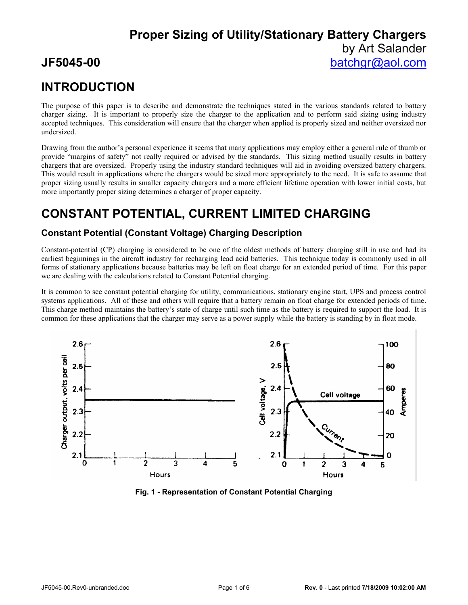# **INTRODUCTION**

The purpose of this paper is to describe and demonstrate the techniques stated in the various standards related to battery charger sizing. It is important to properly size the charger to the application and to perform said sizing using industry accepted techniques. This consideration will ensure that the charger when applied is properly sized and neither oversized nor undersized.

Drawing from the author's personal experience it seems that many applications may employ either a general rule of thumb or provide "margins of safety" not really required or advised by the standards. This sizing method usually results in battery chargers that are oversized. Properly using the industry standard techniques will aid in avoiding oversized battery chargers. This would result in applications where the chargers would be sized more appropriately to the need. It is safe to assume that proper sizing usually results in smaller capacity chargers and a more efficient lifetime operation with lower initial costs, but more importantly proper sizing determines a charger of proper capacity.

# **CONSTANT POTENTIAL, CURRENT LIMITED CHARGING**

## **Constant Potential (Constant Voltage) Charging Description**

Constant-potential (CP) charging is considered to be one of the oldest methods of battery charging still in use and had its earliest beginnings in the aircraft industry for recharging lead acid batteries. This technique today is commonly used in all forms of stationary applications because batteries may be left on float charge for an extended period of time. For this paper we are dealing with the calculations related to Constant Potential charging.

It is common to see constant potential charging for utility, communications, stationary engine start, UPS and process control systems applications. All of these and others will require that a battery remain on float charge for extended periods of time. This charge method maintains the battery's state of charge until such time as the battery is required to support the load. It is common for these applications that the charger may serve as a power supply while the battery is standing by in float mode.



**Fig. 1 - Representation of Constant Potential Charging**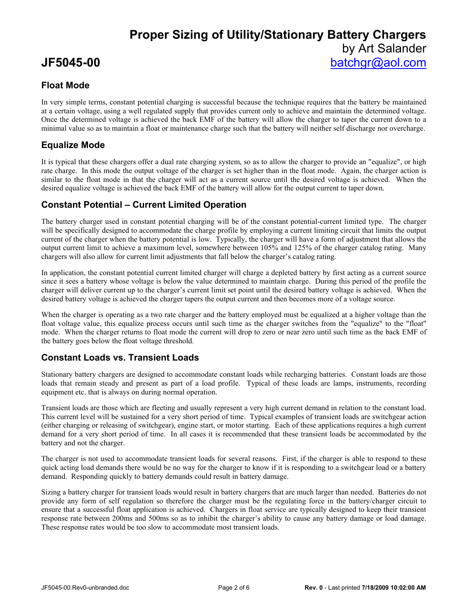## **Float Mode**

In very simple terms, constant potential charging is successful because the technique requires that the battery be maintained at a certain voltage, using a well regulated supply that provides current only to achieve and maintain the determined voltage. Once the determined voltage is achieved the back EMF of the battery will allow the charger to taper the current down to a minimal value so as to maintain a float or maintenance charge such that the battery will neither self discharge nor overcharge.

## **Equalize Mode**

It is typical that these chargers offer a dual rate charging system, so as to allow the charger to provide an "equalize", or high rate charge. In this mode the output voltage of the charger is set higher than in the float mode. Again, the charger action is similar to the float mode in that the charger will act as a current source until the desired voltage is achieved. When the desired equalize voltage is achieved the back EMF of the battery will allow for the output current to taper down.

## **Constant Potential – Current Limited Operation**

The battery charger used in constant potential charging will be of the constant potential-current limited type. The charger will be specifically designed to accommodate the charge profile by employing a current limiting circuit that limits the output current of the charger when the battery potential is low. Typically, the charger will have a form of adjustment that allows the output current limit to achieve a maximum level, somewhere between 105% and 125% of the charger catalog rating. Many chargers will also allow for current limit adjustments that fall below the charger's catalog rating.

In application, the constant potential current limited charger will charge a depleted battery by first acting as a current source since it sees a battery whose voltage is below the value determined to maintain charge. During this period of the profile the charger will deliver current up to the charger's current limit set point until the desired battery voltage is achieved. When the desired battery voltage is achieved the charger tapers the output current and then becomes more of a voltage source.

When the charger is operating as a two rate charger and the battery employed must be equalized at a higher voltage than the float voltage value, this equalize process occurs until such time as the charger switches from the "equalize" to the "float" mode. When the charger returns to float mode the current will drop to zero or near zero until such time as the back EMF of the battery goes below the float voltage threshold.

## **Constant Loads vs. Transient Loads**

Stationary battery chargers are designed to accommodate constant loads while recharging batteries. Constant loads are those loads that remain steady and present as part of a load profile. Typical of these loads are lamps, instruments, recording equipment etc. that is always on during normal operation.

Transient loads are those which are fleeting and usually represent a very high current demand in relation to the constant load. This current level will be sustained for a very short period of time. Typical examples of transient loads are switchgear action (either charging or releasing of switchgear), engine start, or motor starting. Each of these applications requires a high current demand for a very short period of time. In all cases it is recommended that these transient loads be accommodated by the battery and not the charger.

The charger is not used to accommodate transient loads for several reasons. First, if the charger is able to respond to these quick acting load demands there would be no way for the charger to know if it is responding to a switchgear load or a battery demand. Responding quickly to battery demands could result in battery damage.

Sizing a battery charger for transient loads would result in battery chargers that are much larger than needed. Batteries do not provide any form of self regulation so therefore the charger must be the regulating force in the battery/charger circuit to ensure that a successful float application is achieved. Chargers in float service are typically designed to keep their transient response rate between 200ms and 500ms so as to inhibit the charger's ability to cause any battery damage or load damage. These response rates would be too slow to accommodate most transient loads.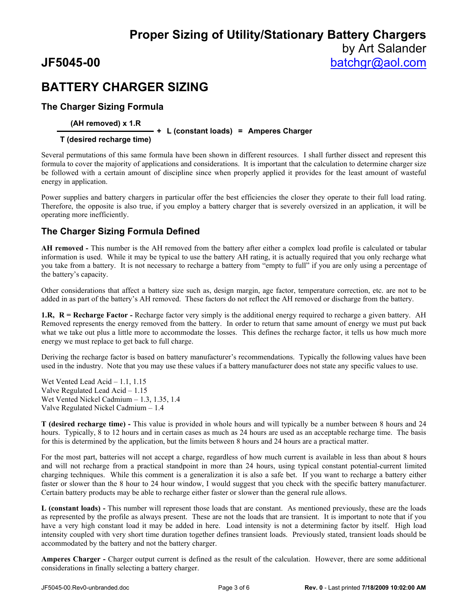# **BATTERY CHARGER SIZING**

## **The Charger Sizing Formula**

### **(AH removed) x 1.R**

**+ L (constant loads) = Amperes Charger**

### **T (desired recharge time)**

Several permutations of this same formula have been shown in different resources. I shall further dissect and represent this formula to cover the majority of applications and considerations. It is important that the calculation to determine charger size be followed with a certain amount of discipline since when properly applied it provides for the least amount of wasteful energy in application.

Power supplies and battery chargers in particular offer the best efficiencies the closer they operate to their full load rating. Therefore, the opposite is also true, if you employ a battery charger that is severely oversized in an application, it will be operating more inefficiently.

## **The Charger Sizing Formula Defined**

**AH removed -** This number is the AH removed from the battery after either a complex load profile is calculated or tabular information is used. While it may be typical to use the battery AH rating, it is actually required that you only recharge what you take from a battery. It is not necessary to recharge a battery from "empty to full" if you are only using a percentage of the battery's capacity.

Other considerations that affect a battery size such as, design margin, age factor, temperature correction, etc. are not to be added in as part of the battery's AH removed. These factors do not reflect the AH removed or discharge from the battery.

**1.R, R = Recharge Factor -** Recharge factor very simply is the additional energy required to recharge a given battery. AH Removed represents the energy removed from the battery. In order to return that same amount of energy we must put back what we take out plus a little more to accommodate the losses. This defines the recharge factor, it tells us how much more energy we must replace to get back to full charge.

Deriving the recharge factor is based on battery manufacturer's recommendations. Typically the following values have been used in the industry. Note that you may use these values if a battery manufacturer does not state any specific values to use.

Wet Vented Lead Acid – 1.1, 1.15 Valve Regulated Lead Acid – 1.15 Wet Vented Nickel Cadmium – 1.3, 1.35, 1.4 Valve Regulated Nickel Cadmium – 1.4

**T (desired recharge time) -** This value is provided in whole hours and will typically be a number between 8 hours and 24 hours. Typically, 8 to 12 hours and in certain cases as much as 24 hours are used as an acceptable recharge time. The basis for this is determined by the application, but the limits between 8 hours and 24 hours are a practical matter.

For the most part, batteries will not accept a charge, regardless of how much current is available in less than about 8 hours and will not recharge from a practical standpoint in more than 24 hours, using typical constant potential-current limited charging techniques. While this comment is a generalization it is also a safe bet. If you want to recharge a battery either faster or slower than the 8 hour to 24 hour window, I would suggest that you check with the specific battery manufacturer. Certain battery products may be able to recharge either faster or slower than the general rule allows.

**L (constant loads) -** This number will represent those loads that are constant. As mentioned previously, these are the loads as represented by the profile as always present. These are not the loads that are transient. It is important to note that if you have a very high constant load it may be added in here. Load intensity is not a determining factor by itself. High load intensity coupled with very short time duration together defines transient loads. Previously stated, transient loads should be accommodated by the battery and not the battery charger.

**Amperes Charger -** Charger output current is defined as the result of the calculation. However, there are some additional considerations in finally selecting a battery charger.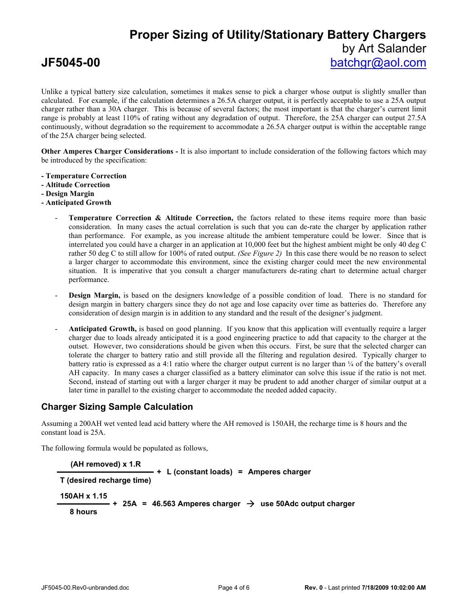Unlike a typical battery size calculation, sometimes it makes sense to pick a charger whose output is slightly smaller than calculated. For example, if the calculation determines a 26.5A charger output, it is perfectly acceptable to use a 25A output charger rather than a 30A charger. This is because of several factors; the most important is that the charger's current limit range is probably at least 110% of rating without any degradation of output. Therefore, the 25A charger can output 27.5A continuously, without degradation so the requirement to accommodate a 26.5A charger output is within the acceptable range of the 25A charger being selected.

**Other Amperes Charger Considerations -** It is also important to include consideration of the following factors which may be introduced by the specification:

- **- Temperature Correction**
- **- Altitude Correction**
- **- Design Margin**
- **- Anticipated Growth**
	- Temperature Correction & Altitude Correction, the factors related to these items require more than basic consideration. In many cases the actual correlation is such that you can de-rate the charger by application rather than performance. For example, as you increase altitude the ambient temperature could be lower. Since that is interrelated you could have a charger in an application at 10,000 feet but the highest ambient might be only 40 deg C rather 50 deg C to still allow for 100% of rated output. *(See Figure 2)* In this case there would be no reason to select a larger charger to accommodate this environment, since the existing charger could meet the new environmental situation. It is imperative that you consult a charger manufacturers de-rating chart to determine actual charger performance.
	- **Design Margin,** is based on the designers knowledge of a possible condition of load. There is no standard for design margin in battery chargers since they do not age and lose capacity over time as batteries do. Therefore any consideration of design margin is in addition to any standard and the result of the designer's judgment.
	- **Anticipated Growth,** is based on good planning. If you know that this application will eventually require a larger charger due to loads already anticipated it is a good engineering practice to add that capacity to the charger at the outset. However, two considerations should be given when this occurs. First, be sure that the selected charger can tolerate the charger to battery ratio and still provide all the filtering and regulation desired. Typically charger to battery ratio is expressed as a 4:1 ratio where the charger output current is no larger than ¼ of the battery's overall AH capacity. In many cases a charger classified as a battery eliminator can solve this issue if the ratio is not met. Second, instead of starting out with a larger charger it may be prudent to add another charger of similar output at a later time in parallel to the existing charger to accommodate the needed added capacity.

### **Charger Sizing Sample Calculation**

Assuming a 200AH wet vented lead acid battery where the AH removed is 150AH, the recharge time is 8 hours and the constant load is 25A.

The following formula would be populated as follows,

```
(AH removed) x 1.R
T (desired recharge time)
                        + L (constant loads) = Amperes charger
150AH x 1.15
  8 hours
            + 25A = 46.563 Amperes charger \rightarrow use 50Adc output charger
```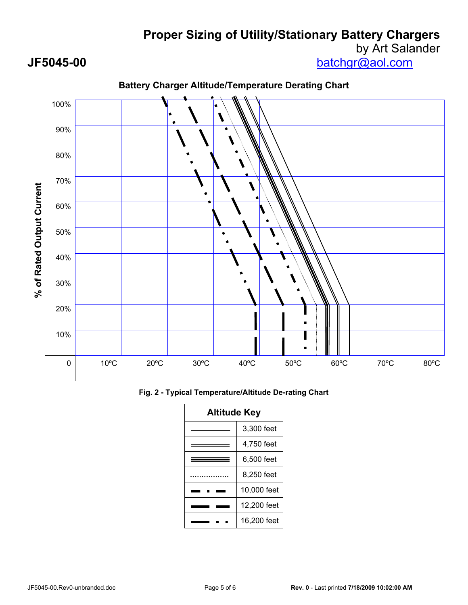**Proper Sizing of Utility/Stationary Battery Chargers**

# by Art Salander

**JF5045-00** batchgr@aol.com



## **Battery Charger Altitude/Temperature Derating Chart**

**Fig. 2 - Typical Temperature/Altitude De-rating Chart**

| <b>Altitude Key</b> |             |
|---------------------|-------------|
|                     | 3.300 feet  |
|                     | 4,750 feet  |
|                     | 6.500 feet  |
|                     | 8,250 feet  |
|                     | 10,000 feet |
|                     | 12,200 feet |
|                     | 16,200 feet |